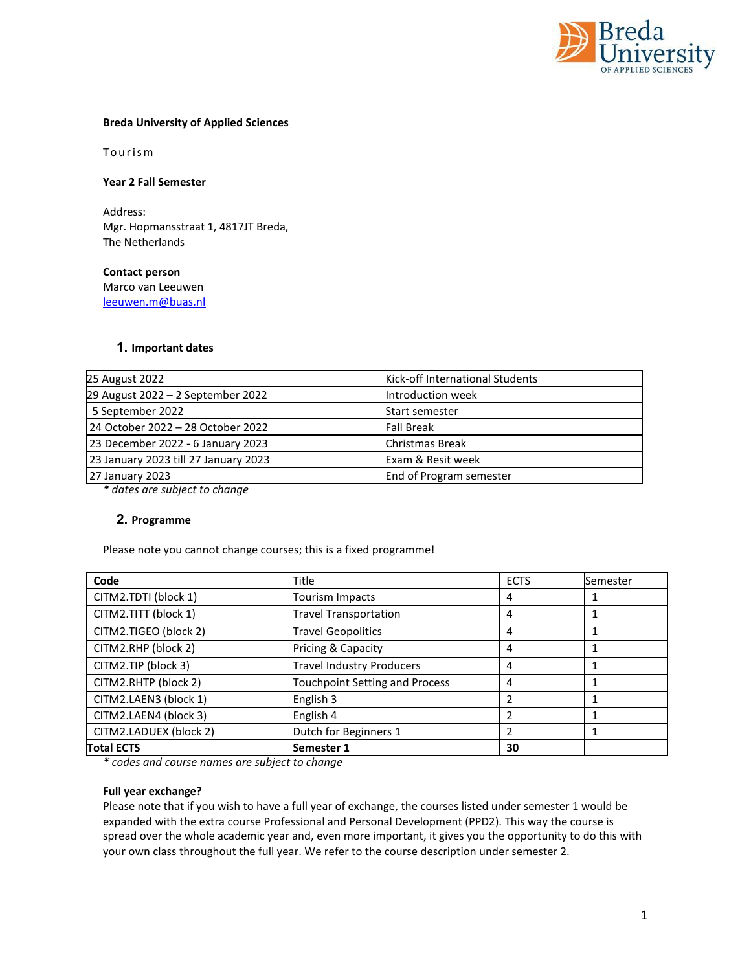

## **Breda University of Applied Sciences**

Tourism

**Year 2 Fall Semester**

Address: Mgr. Hopmansstraat 1, 4817JT Breda, The Netherlands

**Contact person**  Marco van Leeuwen [leeuwen.m@buas.nl](mailto:leeuwen.m@buas.nl) 

## **1. Important dates**

| 25 August 2022                       | Kick-off International Students |
|--------------------------------------|---------------------------------|
| 29 August 2022 - 2 September 2022    | Introduction week               |
| 5 September 2022                     | Start semester                  |
| 24 October 2022 - 28 October 2022    | <b>Fall Break</b>               |
| 23 December 2022 - 6 January 2023    | <b>Christmas Break</b>          |
| 23 January 2023 till 27 January 2023 | Exam & Resit week               |
| 27 January 2023                      | End of Program semester         |

*\* dates are subject to change*

## **2. Programme**

Please note you cannot change courses; this is a fixed programme!

| Code                   | <b>Title</b>                          | <b>ECTS</b>    | Semester |
|------------------------|---------------------------------------|----------------|----------|
| CITM2.TDTI (block 1)   | Tourism Impacts                       | 4              |          |
| CITM2.TITT (block 1)   | <b>Travel Transportation</b>          | 4              |          |
| CITM2.TIGEO (block 2)  | <b>Travel Geopolitics</b>             | 4              |          |
| CITM2.RHP (block 2)    | Pricing & Capacity                    | 4              |          |
| CITM2.TIP (block 3)    | <b>Travel Industry Producers</b>      | 4              |          |
| CITM2.RHTP (block 2)   | <b>Touchpoint Setting and Process</b> | 4              | 1        |
| CITM2.LAEN3 (block 1)  | English 3                             | $\overline{2}$ |          |
| CITM2.LAEN4 (block 3)  | English 4                             | 2              |          |
| CITM2.LADUEX (block 2) | Dutch for Beginners 1                 | $\overline{2}$ | 1        |
| <b>Total ECTS</b>      | Semester 1                            | 30             |          |

*\* codes and course names are subject to change*

## **Full year exchange?**

Please note that if you wish to have a full year of exchange, the courses listed under semester 1 would be expanded with the extra course Professional and Personal Development (PPD2). This way the course is spread over the whole academic year and, even more important, it gives you the opportunity to do this with your own class throughout the full year. We refer to the course description under semester 2.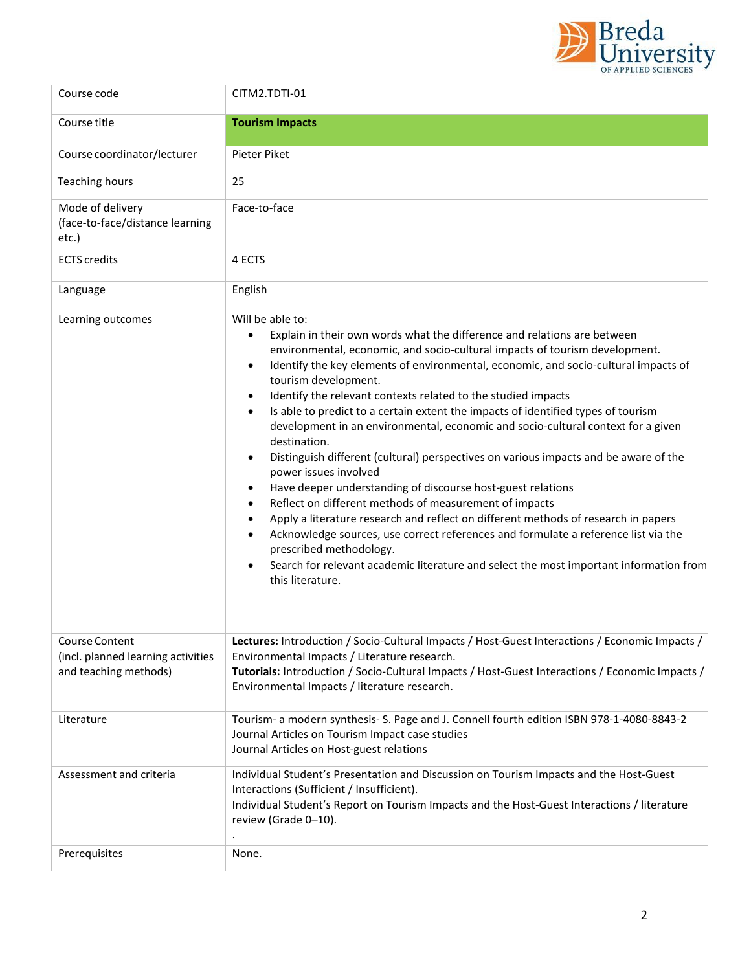

| Course code                                                                   | CITM2.TDTI-01                                                                                                                                                                                                                                                                                                                                                                                                                                                                                                                                                                                                                                                                                                                                                                                                                                                                                                                                                                                                                                                                                                                                                                                                                            |  |
|-------------------------------------------------------------------------------|------------------------------------------------------------------------------------------------------------------------------------------------------------------------------------------------------------------------------------------------------------------------------------------------------------------------------------------------------------------------------------------------------------------------------------------------------------------------------------------------------------------------------------------------------------------------------------------------------------------------------------------------------------------------------------------------------------------------------------------------------------------------------------------------------------------------------------------------------------------------------------------------------------------------------------------------------------------------------------------------------------------------------------------------------------------------------------------------------------------------------------------------------------------------------------------------------------------------------------------|--|
| Course title                                                                  | <b>Tourism Impacts</b>                                                                                                                                                                                                                                                                                                                                                                                                                                                                                                                                                                                                                                                                                                                                                                                                                                                                                                                                                                                                                                                                                                                                                                                                                   |  |
| Course coordinator/lecturer                                                   | Pieter Piket                                                                                                                                                                                                                                                                                                                                                                                                                                                                                                                                                                                                                                                                                                                                                                                                                                                                                                                                                                                                                                                                                                                                                                                                                             |  |
| Teaching hours                                                                | 25                                                                                                                                                                                                                                                                                                                                                                                                                                                                                                                                                                                                                                                                                                                                                                                                                                                                                                                                                                                                                                                                                                                                                                                                                                       |  |
| Mode of delivery<br>(face-to-face/distance learning<br>etc.)                  | Face-to-face                                                                                                                                                                                                                                                                                                                                                                                                                                                                                                                                                                                                                                                                                                                                                                                                                                                                                                                                                                                                                                                                                                                                                                                                                             |  |
| <b>ECTS</b> credits                                                           | 4 ECTS                                                                                                                                                                                                                                                                                                                                                                                                                                                                                                                                                                                                                                                                                                                                                                                                                                                                                                                                                                                                                                                                                                                                                                                                                                   |  |
| Language                                                                      | English                                                                                                                                                                                                                                                                                                                                                                                                                                                                                                                                                                                                                                                                                                                                                                                                                                                                                                                                                                                                                                                                                                                                                                                                                                  |  |
| Learning outcomes                                                             | Will be able to:<br>Explain in their own words what the difference and relations are between<br>$\bullet$<br>environmental, economic, and socio-cultural impacts of tourism development.<br>Identify the key elements of environmental, economic, and socio-cultural impacts of<br>$\bullet$<br>tourism development.<br>Identify the relevant contexts related to the studied impacts<br>$\bullet$<br>Is able to predict to a certain extent the impacts of identified types of tourism<br>$\bullet$<br>development in an environmental, economic and socio-cultural context for a given<br>destination.<br>Distinguish different (cultural) perspectives on various impacts and be aware of the<br>$\bullet$<br>power issues involved<br>Have deeper understanding of discourse host-guest relations<br>Reflect on different methods of measurement of impacts<br>$\bullet$<br>Apply a literature research and reflect on different methods of research in papers<br>$\bullet$<br>Acknowledge sources, use correct references and formulate a reference list via the<br>$\bullet$<br>prescribed methodology.<br>Search for relevant academic literature and select the most important information from<br>$\bullet$<br>this literature. |  |
| Course Content<br>(incl. planned learning activities<br>and teaching methods) | Lectures: Introduction / Socio-Cultural Impacts / Host-Guest Interactions / Economic Impacts /<br>Environmental Impacts / Literature research.<br>Tutorials: Introduction / Socio-Cultural Impacts / Host-Guest Interactions / Economic Impacts /<br>Environmental Impacts / literature research.                                                                                                                                                                                                                                                                                                                                                                                                                                                                                                                                                                                                                                                                                                                                                                                                                                                                                                                                        |  |
| Literature                                                                    | Tourism- a modern synthesis- S. Page and J. Connell fourth edition ISBN 978-1-4080-8843-2<br>Journal Articles on Tourism Impact case studies<br>Journal Articles on Host-guest relations                                                                                                                                                                                                                                                                                                                                                                                                                                                                                                                                                                                                                                                                                                                                                                                                                                                                                                                                                                                                                                                 |  |
| Assessment and criteria                                                       | Individual Student's Presentation and Discussion on Tourism Impacts and the Host-Guest<br>Interactions (Sufficient / Insufficient).<br>Individual Student's Report on Tourism Impacts and the Host-Guest Interactions / literature<br>review (Grade 0-10).                                                                                                                                                                                                                                                                                                                                                                                                                                                                                                                                                                                                                                                                                                                                                                                                                                                                                                                                                                               |  |
| Prerequisites                                                                 | None.                                                                                                                                                                                                                                                                                                                                                                                                                                                                                                                                                                                                                                                                                                                                                                                                                                                                                                                                                                                                                                                                                                                                                                                                                                    |  |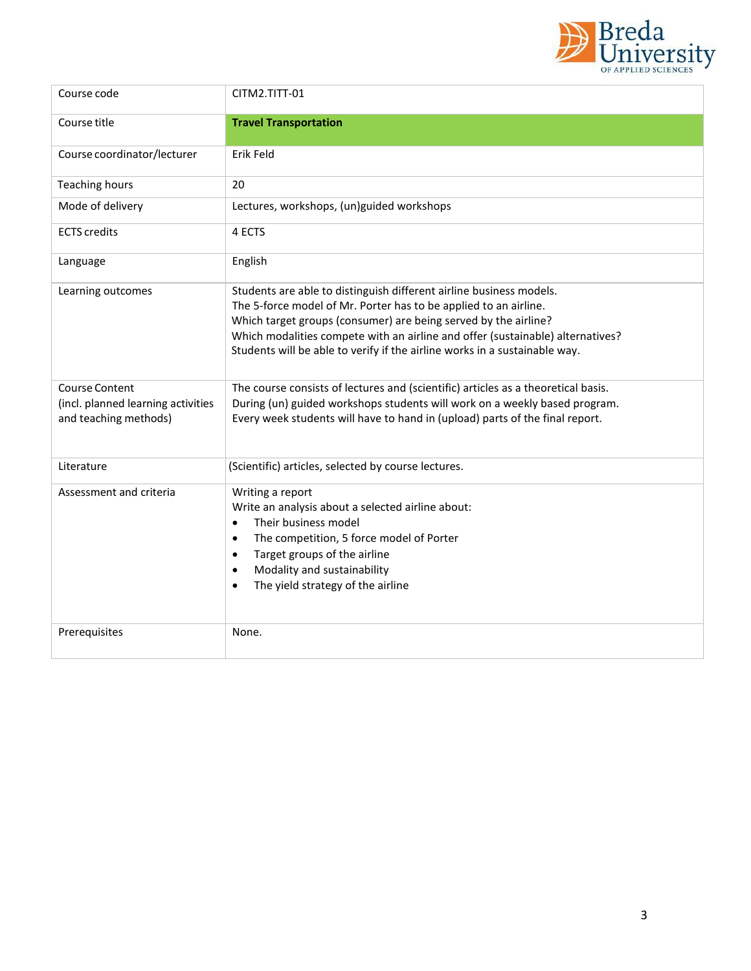

| Course code                                                                          | CITM2.TITT-01                                                                                                                                                                                                                                                                                                                                                              |
|--------------------------------------------------------------------------------------|----------------------------------------------------------------------------------------------------------------------------------------------------------------------------------------------------------------------------------------------------------------------------------------------------------------------------------------------------------------------------|
| Course title                                                                         | <b>Travel Transportation</b>                                                                                                                                                                                                                                                                                                                                               |
| Course coordinator/lecturer                                                          | Erik Feld                                                                                                                                                                                                                                                                                                                                                                  |
| <b>Teaching hours</b>                                                                | 20                                                                                                                                                                                                                                                                                                                                                                         |
| Mode of delivery                                                                     | Lectures, workshops, (un)guided workshops                                                                                                                                                                                                                                                                                                                                  |
| <b>ECTS</b> credits                                                                  | 4 ECTS                                                                                                                                                                                                                                                                                                                                                                     |
| Language                                                                             | English                                                                                                                                                                                                                                                                                                                                                                    |
| Learning outcomes                                                                    | Students are able to distinguish different airline business models.<br>The 5-force model of Mr. Porter has to be applied to an airline.<br>Which target groups (consumer) are being served by the airline?<br>Which modalities compete with an airline and offer (sustainable) alternatives?<br>Students will be able to verify if the airline works in a sustainable way. |
| <b>Course Content</b><br>(incl. planned learning activities<br>and teaching methods) | The course consists of lectures and (scientific) articles as a theoretical basis.<br>During (un) guided workshops students will work on a weekly based program.<br>Every week students will have to hand in (upload) parts of the final report.                                                                                                                            |
| Literature                                                                           | (Scientific) articles, selected by course lectures.                                                                                                                                                                                                                                                                                                                        |
| Assessment and criteria                                                              | Writing a report<br>Write an analysis about a selected airline about:<br>Their business model<br>$\bullet$<br>The competition, 5 force model of Porter<br>$\bullet$<br>Target groups of the airline<br>$\bullet$<br>Modality and sustainability<br>$\bullet$<br>The yield strategy of the airline<br>$\bullet$                                                             |
| Prerequisites                                                                        | None.                                                                                                                                                                                                                                                                                                                                                                      |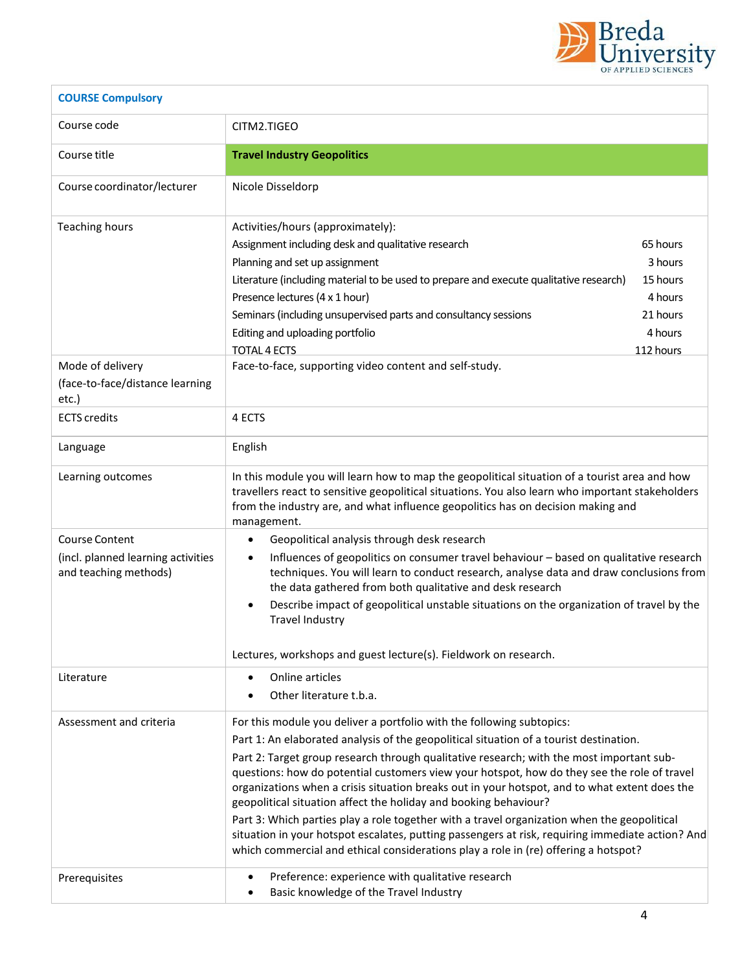

| <b>COURSE Compulsory</b>                                                             |                                                                                                                                                                                                                                                                                                                                                                                                                                                                                                                                                                                                                                                                                                                                                                                                                           |  |
|--------------------------------------------------------------------------------------|---------------------------------------------------------------------------------------------------------------------------------------------------------------------------------------------------------------------------------------------------------------------------------------------------------------------------------------------------------------------------------------------------------------------------------------------------------------------------------------------------------------------------------------------------------------------------------------------------------------------------------------------------------------------------------------------------------------------------------------------------------------------------------------------------------------------------|--|
| Course code                                                                          | CITM2.TIGEO                                                                                                                                                                                                                                                                                                                                                                                                                                                                                                                                                                                                                                                                                                                                                                                                               |  |
| Course title                                                                         | <b>Travel Industry Geopolitics</b>                                                                                                                                                                                                                                                                                                                                                                                                                                                                                                                                                                                                                                                                                                                                                                                        |  |
| Course coordinator/lecturer                                                          | Nicole Disseldorp                                                                                                                                                                                                                                                                                                                                                                                                                                                                                                                                                                                                                                                                                                                                                                                                         |  |
| <b>Teaching hours</b>                                                                | Activities/hours (approximately):<br>65 hours<br>Assignment including desk and qualitative research<br>3 hours<br>Planning and set up assignment<br>Literature (including material to be used to prepare and execute qualitative research)<br>15 hours<br>Presence lectures (4 x 1 hour)<br>4 hours<br>Seminars (including unsupervised parts and consultancy sessions<br>21 hours<br>Editing and uploading portfolio<br>4 hours<br><b>TOTAL 4 ECTS</b><br>112 hours                                                                                                                                                                                                                                                                                                                                                      |  |
| Mode of delivery<br>(face-to-face/distance learning<br>etc.)                         | Face-to-face, supporting video content and self-study.                                                                                                                                                                                                                                                                                                                                                                                                                                                                                                                                                                                                                                                                                                                                                                    |  |
| <b>ECTS</b> credits                                                                  | 4 ECTS                                                                                                                                                                                                                                                                                                                                                                                                                                                                                                                                                                                                                                                                                                                                                                                                                    |  |
| Language                                                                             | English                                                                                                                                                                                                                                                                                                                                                                                                                                                                                                                                                                                                                                                                                                                                                                                                                   |  |
| Learning outcomes                                                                    | In this module you will learn how to map the geopolitical situation of a tourist area and how<br>travellers react to sensitive geopolitical situations. You also learn who important stakeholders<br>from the industry are, and what influence geopolitics has on decision making and<br>management.                                                                                                                                                                                                                                                                                                                                                                                                                                                                                                                      |  |
| <b>Course Content</b><br>(incl. planned learning activities<br>and teaching methods) | Geopolitical analysis through desk research<br>$\bullet$<br>Influences of geopolitics on consumer travel behaviour - based on qualitative research<br>$\bullet$<br>techniques. You will learn to conduct research, analyse data and draw conclusions from<br>the data gathered from both qualitative and desk research<br>Describe impact of geopolitical unstable situations on the organization of travel by the<br>$\bullet$<br><b>Travel Industry</b><br>Lectures, workshops and guest lecture(s). Fieldwork on research.                                                                                                                                                                                                                                                                                             |  |
| Literature                                                                           | Online articles<br>$\bullet$<br>Other literature t.b.a.                                                                                                                                                                                                                                                                                                                                                                                                                                                                                                                                                                                                                                                                                                                                                                   |  |
| Assessment and criteria                                                              | For this module you deliver a portfolio with the following subtopics:<br>Part 1: An elaborated analysis of the geopolitical situation of a tourist destination.<br>Part 2: Target group research through qualitative research; with the most important sub-<br>questions: how do potential customers view your hotspot, how do they see the role of travel<br>organizations when a crisis situation breaks out in your hotspot, and to what extent does the<br>geopolitical situation affect the holiday and booking behaviour?<br>Part 3: Which parties play a role together with a travel organization when the geopolitical<br>situation in your hotspot escalates, putting passengers at risk, requiring immediate action? And<br>which commercial and ethical considerations play a role in (re) offering a hotspot? |  |
| Prerequisites                                                                        | Preference: experience with qualitative research<br>$\bullet$<br>Basic knowledge of the Travel Industry                                                                                                                                                                                                                                                                                                                                                                                                                                                                                                                                                                                                                                                                                                                   |  |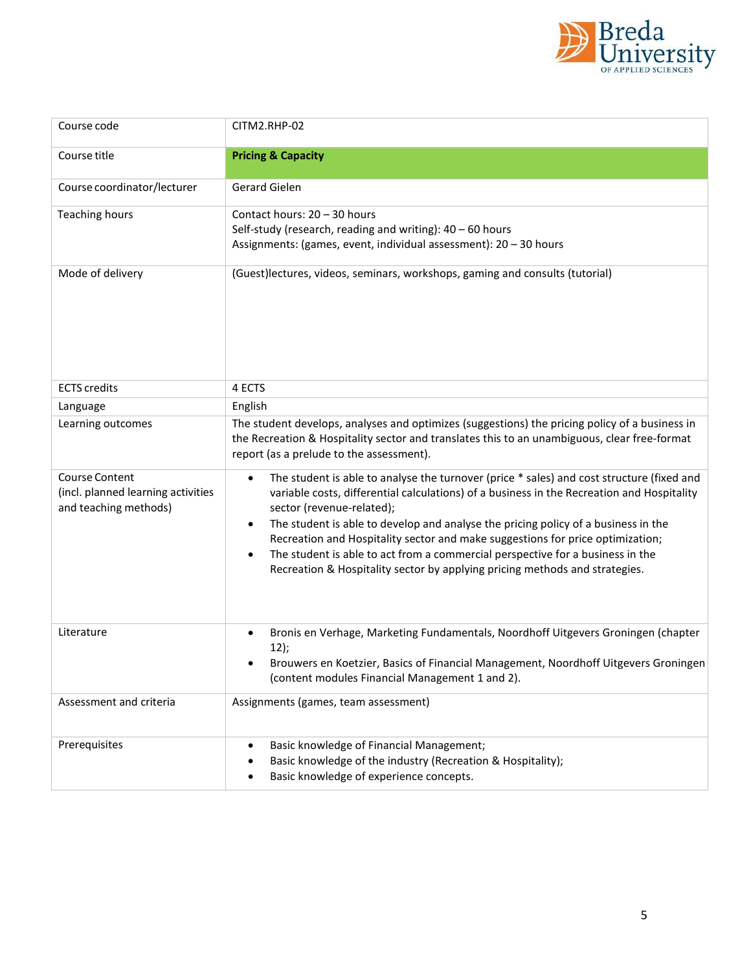

| Course code                                                                   | CITM2.RHP-02                                                                                                                                                                                                                                                                                                                                                                                                                                                                                                                                                                                         |
|-------------------------------------------------------------------------------|------------------------------------------------------------------------------------------------------------------------------------------------------------------------------------------------------------------------------------------------------------------------------------------------------------------------------------------------------------------------------------------------------------------------------------------------------------------------------------------------------------------------------------------------------------------------------------------------------|
| Course title                                                                  | <b>Pricing &amp; Capacity</b>                                                                                                                                                                                                                                                                                                                                                                                                                                                                                                                                                                        |
| Course coordinator/lecturer                                                   | Gerard Gielen                                                                                                                                                                                                                                                                                                                                                                                                                                                                                                                                                                                        |
| <b>Teaching hours</b>                                                         | Contact hours: 20 - 30 hours<br>Self-study (research, reading and writing): 40 - 60 hours<br>Assignments: (games, event, individual assessment): 20 - 30 hours                                                                                                                                                                                                                                                                                                                                                                                                                                       |
| Mode of delivery                                                              | (Guest)lectures, videos, seminars, workshops, gaming and consults (tutorial)                                                                                                                                                                                                                                                                                                                                                                                                                                                                                                                         |
| <b>ECTS</b> credits                                                           | 4 ECTS                                                                                                                                                                                                                                                                                                                                                                                                                                                                                                                                                                                               |
| Language                                                                      | English                                                                                                                                                                                                                                                                                                                                                                                                                                                                                                                                                                                              |
| Learning outcomes                                                             | The student develops, analyses and optimizes (suggestions) the pricing policy of a business in<br>the Recreation & Hospitality sector and translates this to an unambiguous, clear free-format<br>report (as a prelude to the assessment).                                                                                                                                                                                                                                                                                                                                                           |
| Course Content<br>(incl. planned learning activities<br>and teaching methods) | The student is able to analyse the turnover (price * sales) and cost structure (fixed and<br>$\bullet$<br>variable costs, differential calculations) of a business in the Recreation and Hospitality<br>sector (revenue-related);<br>The student is able to develop and analyse the pricing policy of a business in the<br>$\bullet$<br>Recreation and Hospitality sector and make suggestions for price optimization;<br>The student is able to act from a commercial perspective for a business in the<br>$\bullet$<br>Recreation & Hospitality sector by applying pricing methods and strategies. |
| Literature                                                                    | Bronis en Verhage, Marketing Fundamentals, Noordhoff Uitgevers Groningen (chapter<br>12);<br>Brouwers en Koetzier, Basics of Financial Management, Noordhoff Uitgevers Groningen<br>(content modules Financial Management 1 and 2).                                                                                                                                                                                                                                                                                                                                                                  |
| Assessment and criteria                                                       | Assignments (games, team assessment)                                                                                                                                                                                                                                                                                                                                                                                                                                                                                                                                                                 |
| Prerequisites                                                                 | Basic knowledge of Financial Management;<br>$\bullet$<br>Basic knowledge of the industry (Recreation & Hospitality);<br>Basic knowledge of experience concepts.                                                                                                                                                                                                                                                                                                                                                                                                                                      |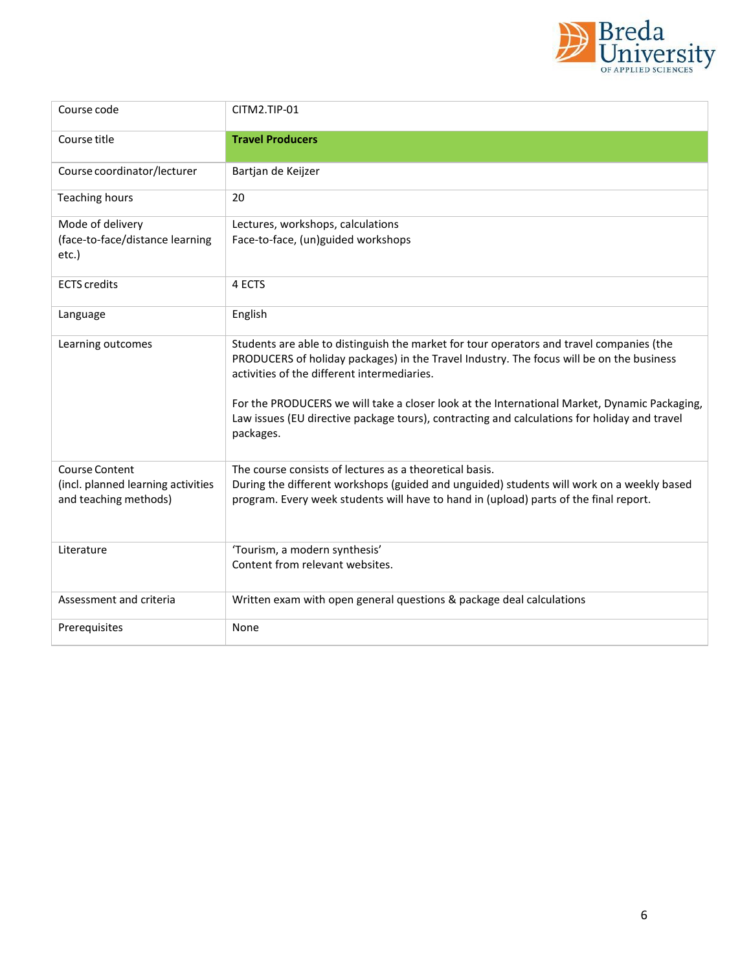

| Course code                                                                   | CITM2.TIP-01                                                                                                                                                                                                                                                                                                                                                                                                                                     |
|-------------------------------------------------------------------------------|--------------------------------------------------------------------------------------------------------------------------------------------------------------------------------------------------------------------------------------------------------------------------------------------------------------------------------------------------------------------------------------------------------------------------------------------------|
| Course title                                                                  | <b>Travel Producers</b>                                                                                                                                                                                                                                                                                                                                                                                                                          |
| Course coordinator/lecturer                                                   | Bartjan de Keijzer                                                                                                                                                                                                                                                                                                                                                                                                                               |
| <b>Teaching hours</b>                                                         | 20                                                                                                                                                                                                                                                                                                                                                                                                                                               |
| Mode of delivery<br>(face-to-face/distance learning<br>etc.)                  | Lectures, workshops, calculations<br>Face-to-face, (un)guided workshops                                                                                                                                                                                                                                                                                                                                                                          |
| <b>ECTS</b> credits                                                           | 4 ECTS                                                                                                                                                                                                                                                                                                                                                                                                                                           |
| Language                                                                      | English                                                                                                                                                                                                                                                                                                                                                                                                                                          |
| Learning outcomes                                                             | Students are able to distinguish the market for tour operators and travel companies (the<br>PRODUCERS of holiday packages) in the Travel Industry. The focus will be on the business<br>activities of the different intermediaries.<br>For the PRODUCERS we will take a closer look at the International Market, Dynamic Packaging,<br>Law issues (EU directive package tours), contracting and calculations for holiday and travel<br>packages. |
| Course Content<br>(incl. planned learning activities<br>and teaching methods) | The course consists of lectures as a theoretical basis.<br>During the different workshops (guided and unguided) students will work on a weekly based<br>program. Every week students will have to hand in (upload) parts of the final report.                                                                                                                                                                                                    |
| Literature                                                                    | 'Tourism, a modern synthesis'<br>Content from relevant websites.                                                                                                                                                                                                                                                                                                                                                                                 |
| Assessment and criteria                                                       | Written exam with open general questions & package deal calculations                                                                                                                                                                                                                                                                                                                                                                             |
| Prerequisites                                                                 | None                                                                                                                                                                                                                                                                                                                                                                                                                                             |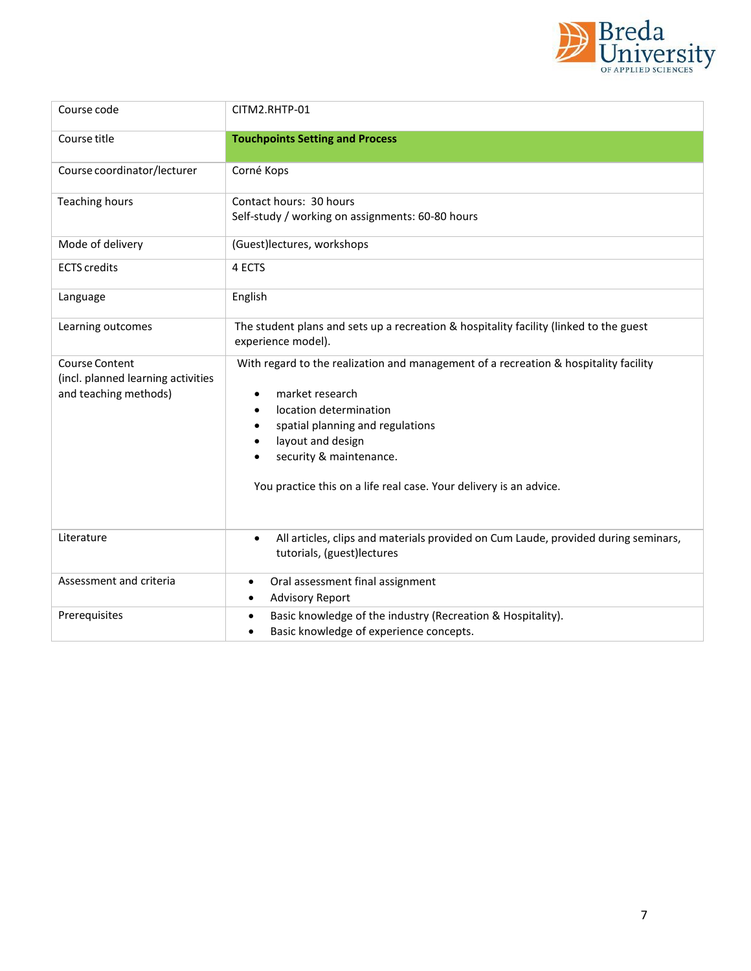

| Course code                                                                          | CITM2.RHTP-01                                                                                                                                                                                                                                                                                                              |
|--------------------------------------------------------------------------------------|----------------------------------------------------------------------------------------------------------------------------------------------------------------------------------------------------------------------------------------------------------------------------------------------------------------------------|
| Course title                                                                         | <b>Touchpoints Setting and Process</b>                                                                                                                                                                                                                                                                                     |
| Course coordinator/lecturer                                                          | Corné Kops                                                                                                                                                                                                                                                                                                                 |
| <b>Teaching hours</b>                                                                | Contact hours: 30 hours<br>Self-study / working on assignments: 60-80 hours                                                                                                                                                                                                                                                |
| Mode of delivery                                                                     | (Guest)lectures, workshops                                                                                                                                                                                                                                                                                                 |
| <b>ECTS</b> credits                                                                  | 4 ECTS                                                                                                                                                                                                                                                                                                                     |
| Language                                                                             | English                                                                                                                                                                                                                                                                                                                    |
| Learning outcomes                                                                    | The student plans and sets up a recreation & hospitality facility (linked to the guest<br>experience model).                                                                                                                                                                                                               |
| <b>Course Content</b><br>(incl. planned learning activities<br>and teaching methods) | With regard to the realization and management of a recreation & hospitality facility<br>market research<br>$\bullet$<br>location determination<br>$\bullet$<br>spatial planning and regulations<br>٠<br>layout and design<br>security & maintenance.<br>You practice this on a life real case. Your delivery is an advice. |
| Literature                                                                           | All articles, clips and materials provided on Cum Laude, provided during seminars,<br>$\bullet$<br>tutorials, (guest)lectures                                                                                                                                                                                              |
| Assessment and criteria                                                              | Oral assessment final assignment<br><b>Advisory Report</b><br>٠                                                                                                                                                                                                                                                            |
| Prerequisites                                                                        | Basic knowledge of the industry (Recreation & Hospitality).<br>$\bullet$<br>Basic knowledge of experience concepts.                                                                                                                                                                                                        |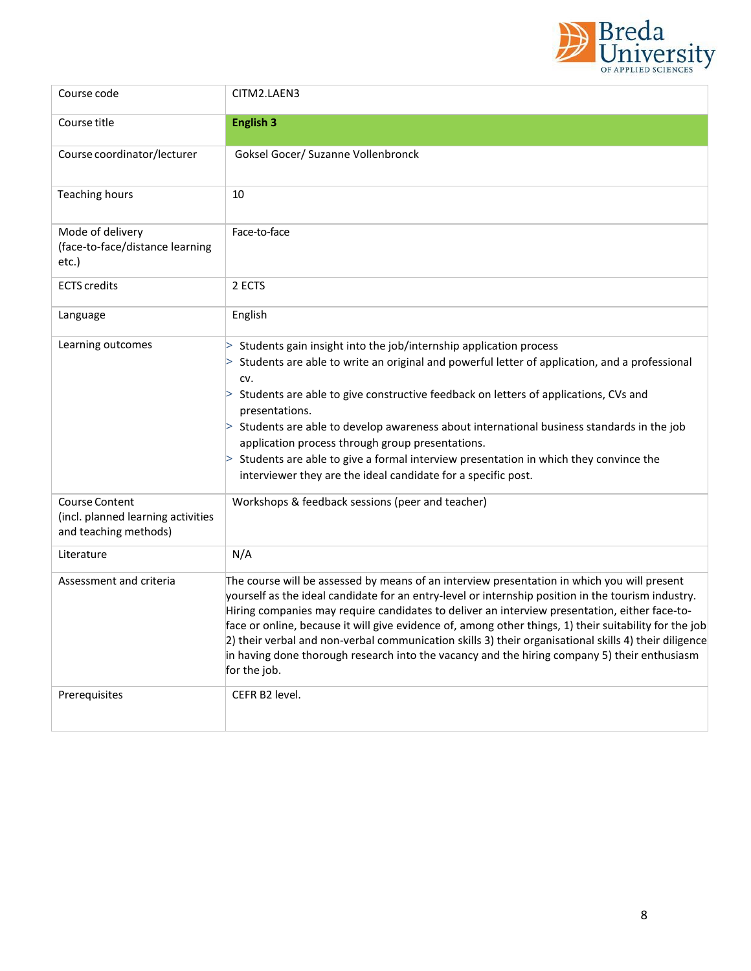

| Course code                                                                   | CITM2.LAEN3                                                                                                                                                                                                                                                                                                                                                                                                                                                                                                                                                                                                                           |
|-------------------------------------------------------------------------------|---------------------------------------------------------------------------------------------------------------------------------------------------------------------------------------------------------------------------------------------------------------------------------------------------------------------------------------------------------------------------------------------------------------------------------------------------------------------------------------------------------------------------------------------------------------------------------------------------------------------------------------|
| Course title                                                                  | <b>English 3</b>                                                                                                                                                                                                                                                                                                                                                                                                                                                                                                                                                                                                                      |
| Course coordinator/lecturer                                                   | Goksel Gocer/ Suzanne Vollenbronck                                                                                                                                                                                                                                                                                                                                                                                                                                                                                                                                                                                                    |
| <b>Teaching hours</b>                                                         | 10                                                                                                                                                                                                                                                                                                                                                                                                                                                                                                                                                                                                                                    |
| Mode of delivery<br>(face-to-face/distance learning<br>etc.)                  | Face-to-face                                                                                                                                                                                                                                                                                                                                                                                                                                                                                                                                                                                                                          |
| <b>ECTS</b> credits                                                           | 2 ECTS                                                                                                                                                                                                                                                                                                                                                                                                                                                                                                                                                                                                                                |
| Language                                                                      | English                                                                                                                                                                                                                                                                                                                                                                                                                                                                                                                                                                                                                               |
| Learning outcomes                                                             | Students gain insight into the job/internship application process<br>Students are able to write an original and powerful letter of application, and a professional<br>CV.<br>Students are able to give constructive feedback on letters of applications, CVs and<br>presentations.<br>$>$ Students are able to develop awareness about international business standards in the job<br>application process through group presentations.<br>Students are able to give a formal interview presentation in which they convince the<br>interviewer they are the ideal candidate for a specific post.                                       |
| Course Content<br>(incl. planned learning activities<br>and teaching methods) | Workshops & feedback sessions (peer and teacher)                                                                                                                                                                                                                                                                                                                                                                                                                                                                                                                                                                                      |
| Literature                                                                    | N/A                                                                                                                                                                                                                                                                                                                                                                                                                                                                                                                                                                                                                                   |
| Assessment and criteria                                                       | The course will be assessed by means of an interview presentation in which you will present<br>yourself as the ideal candidate for an entry-level or internship position in the tourism industry.<br>Hiring companies may require candidates to deliver an interview presentation, either face-to-<br>face or online, because it will give evidence of, among other things, 1) their suitability for the job<br>2) their verbal and non-verbal communication skills 3) their organisational skills 4) their diligence<br>in having done thorough research into the vacancy and the hiring company 5) their enthusiasm<br>for the job. |
| Prerequisites                                                                 | CEFR B2 level.                                                                                                                                                                                                                                                                                                                                                                                                                                                                                                                                                                                                                        |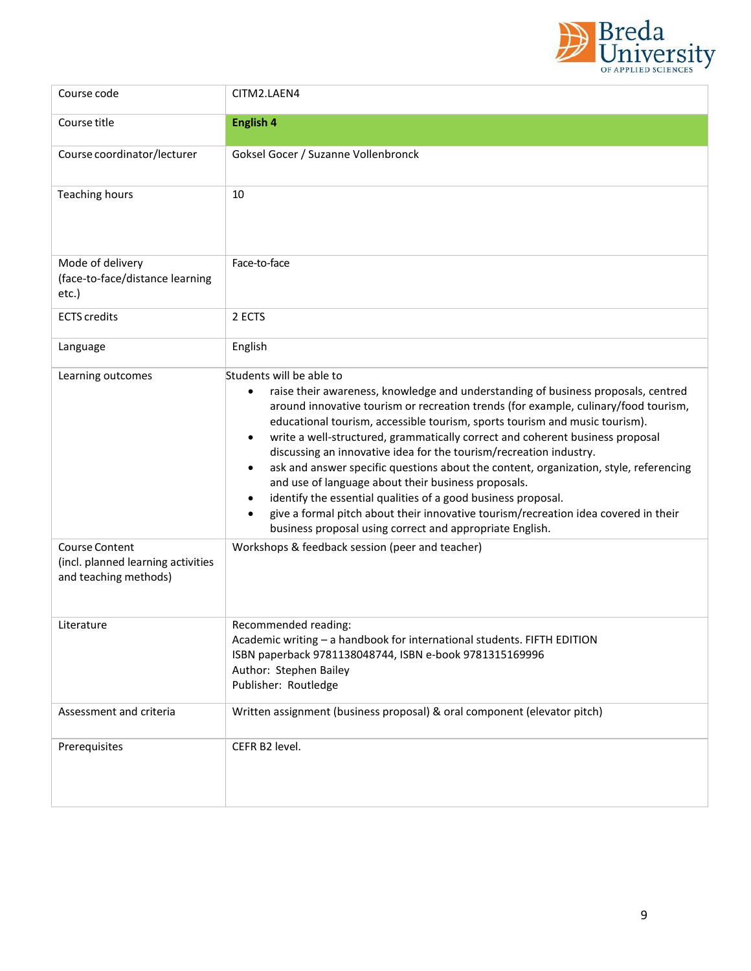

| Course code                                                                          | CITM2.LAEN4                                                                                                                                                                                                                                                                                                                                                                                                                                                                                                                                                                                                                                                                                                                                                                                                                                                                     |
|--------------------------------------------------------------------------------------|---------------------------------------------------------------------------------------------------------------------------------------------------------------------------------------------------------------------------------------------------------------------------------------------------------------------------------------------------------------------------------------------------------------------------------------------------------------------------------------------------------------------------------------------------------------------------------------------------------------------------------------------------------------------------------------------------------------------------------------------------------------------------------------------------------------------------------------------------------------------------------|
| Course title                                                                         | English 4                                                                                                                                                                                                                                                                                                                                                                                                                                                                                                                                                                                                                                                                                                                                                                                                                                                                       |
| Course coordinator/lecturer                                                          | Goksel Gocer / Suzanne Vollenbronck                                                                                                                                                                                                                                                                                                                                                                                                                                                                                                                                                                                                                                                                                                                                                                                                                                             |
| <b>Teaching hours</b>                                                                | 10                                                                                                                                                                                                                                                                                                                                                                                                                                                                                                                                                                                                                                                                                                                                                                                                                                                                              |
| Mode of delivery<br>(face-to-face/distance learning<br>etc.)                         | Face-to-face                                                                                                                                                                                                                                                                                                                                                                                                                                                                                                                                                                                                                                                                                                                                                                                                                                                                    |
| <b>ECTS</b> credits                                                                  | 2 ECTS                                                                                                                                                                                                                                                                                                                                                                                                                                                                                                                                                                                                                                                                                                                                                                                                                                                                          |
| Language                                                                             | English                                                                                                                                                                                                                                                                                                                                                                                                                                                                                                                                                                                                                                                                                                                                                                                                                                                                         |
| Learning outcomes                                                                    | Students will be able to<br>raise their awareness, knowledge and understanding of business proposals, centred<br>$\bullet$<br>around innovative tourism or recreation trends (for example, culinary/food tourism,<br>educational tourism, accessible tourism, sports tourism and music tourism).<br>write a well-structured, grammatically correct and coherent business proposal<br>$\bullet$<br>discussing an innovative idea for the tourism/recreation industry.<br>ask and answer specific questions about the content, organization, style, referencing<br>$\bullet$<br>and use of language about their business proposals.<br>identify the essential qualities of a good business proposal.<br>$\bullet$<br>give a formal pitch about their innovative tourism/recreation idea covered in their<br>$\bullet$<br>business proposal using correct and appropriate English. |
| <b>Course Content</b><br>(incl. planned learning activities<br>and teaching methods) | Workshops & feedback session (peer and teacher)                                                                                                                                                                                                                                                                                                                                                                                                                                                                                                                                                                                                                                                                                                                                                                                                                                 |
| Literature                                                                           | Recommended reading:<br>Academic writing - a handbook for international students. FIFTH EDITION<br>ISBN paperback 9781138048744, ISBN e-book 9781315169996<br>Author: Stephen Bailey<br>Publisher: Routledge                                                                                                                                                                                                                                                                                                                                                                                                                                                                                                                                                                                                                                                                    |
| Assessment and criteria                                                              | Written assignment (business proposal) & oral component (elevator pitch)                                                                                                                                                                                                                                                                                                                                                                                                                                                                                                                                                                                                                                                                                                                                                                                                        |
| Prerequisites                                                                        | CEFR B2 level.                                                                                                                                                                                                                                                                                                                                                                                                                                                                                                                                                                                                                                                                                                                                                                                                                                                                  |